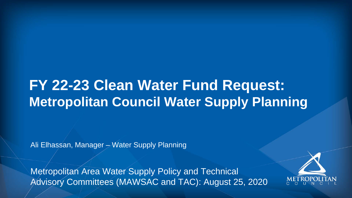#### **FY 22-23 Clean Water Fund Request: Metropolitan Council Water Supply Planning**

Ali Elhassan, Manager – Water Supply Planning

Metropolitan Area Water Supply Policy and Technical Advisory Committees (MAWSAC and TAC): August 25, 2020

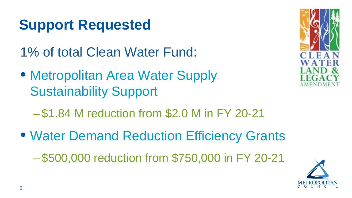### **Support Requested**

1% of total Clean Water Fund:

- Metropolitan Area Water Supply Sustainability Support
	- \$1.84 M reduction from \$2.0 M in FY 20-21
- Water Demand Reduction Efficiency Grants

– \$500,000 reduction from \$750,000 in FY 20-21

2



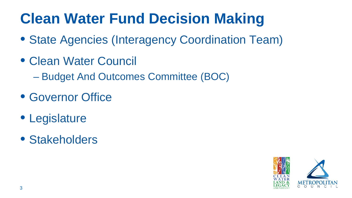# **Clean Water Fund Decision Making**

- State Agencies (Interagency Coordination Team)
- Clean Water Council
	- Budget And Outcomes Committee (BOC)
- Governor Office
- Legislature
- Stakeholders

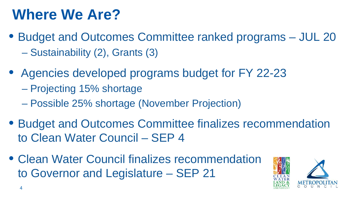### **Where We Are?**

- Budget and Outcomes Committee ranked programs JUL 20 – Sustainability (2), Grants (3)
- Agencies developed programs budget for FY 22-23
	- Projecting 15% shortage
	- Possible 25% shortage (November Projection)
- Budget and Outcomes Committee finalizes recommendation to Clean Water Council – SEP 4
- Clean Water Council finalizes recommendation to Governor and Legislature – SEP 21

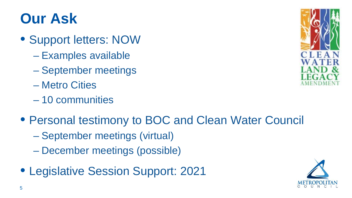## **Our Ask**

- Support letters: NOW
	- Examples available
	- September meetings
	- Metro Cities
	- 10 communities
- Personal testimony to BOC and Clean Water Council
	- September meetings (virtual)
	- December meetings (possible)
- Legislative Session Support: 2021